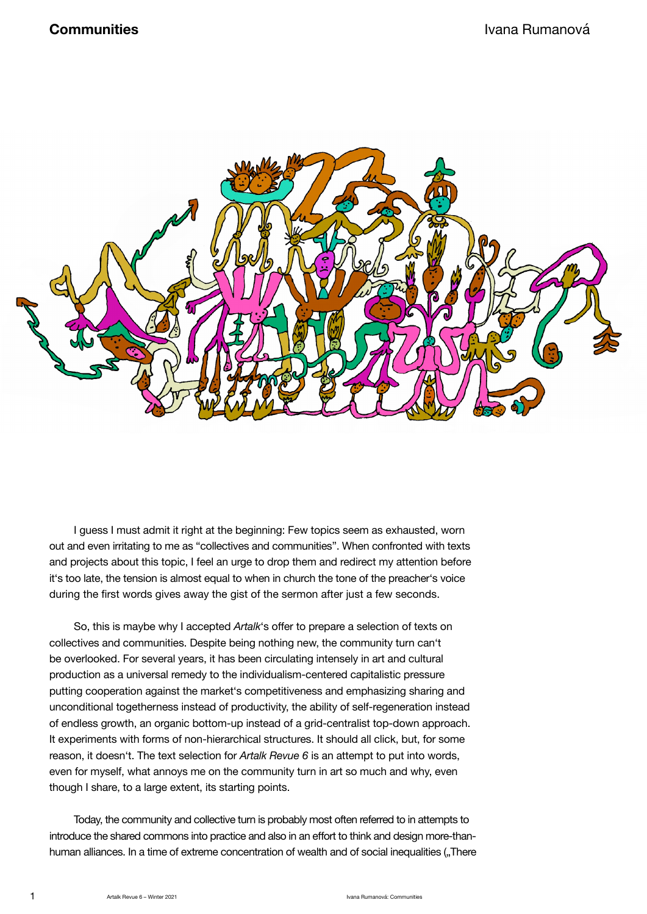

I guess I must admit it right at the beginning: Few topics seem as exhausted, worn out and even irritating to me as "collectives and communities". When confronted with texts and projects about this topic, I feel an urge to drop them and redirect my attention before it's too late, the tension is almost equal to when in church the tone of the preacher's voice during the first words gives away the gist of the sermon after just a few seconds.

So, this is maybe why I accepted *Artalk*'s offer to prepare a selection of texts on collectives and communities. Despite being nothing new, the community turn can't be overlooked. For several years, it has been circulating intensely in art and cultural production as a universal remedy to the individualism-centered capitalistic pressure putting cooperation against the market's competitiveness and emphasizing sharing and unconditional togetherness instead of productivity, the ability of self-regeneration instead of endless growth, an organic bottom-up instead of a grid-centralist top-down approach. It experiments with forms of non-hierarchical structures. It should all click, but, for some reason, it doesn't. The text selection for *Artalk Revue 6* is an attempt to put into words, even for myself, what annoys me on the community turn in art so much and why, even though I share, to a large extent, its starting points.

Today, the community and collective turn is probably most often referred to in attempts to introduce the shared commons into practice and also in an effort to think and design more-thanhuman alliances. In a time of extreme concentration of wealth and of social inequalities ("There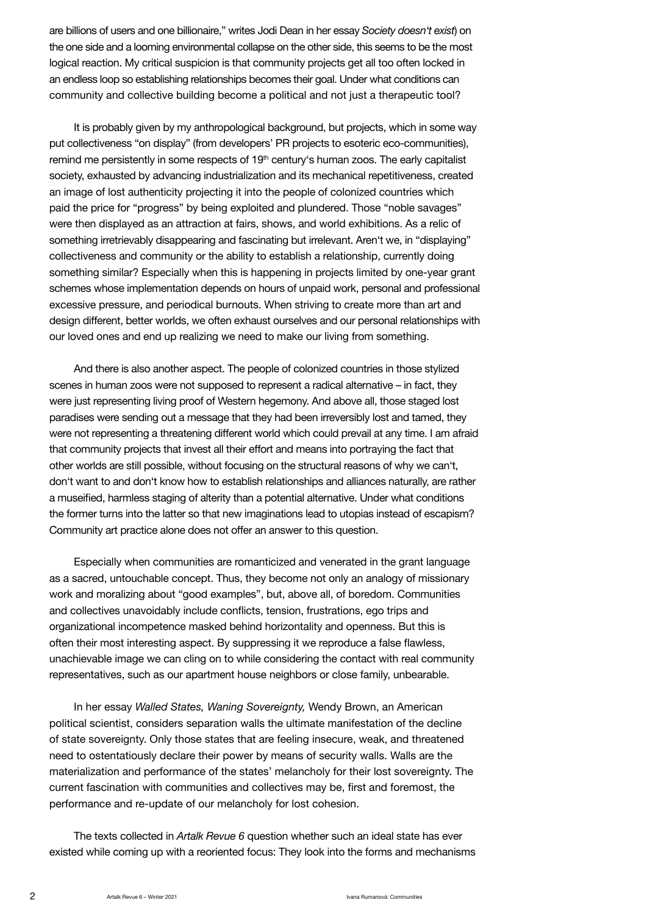are billions of users and one billionaire," writes Jodi Dean in her essay *Society doesn't exist*) on the one side and a looming environmental collapse on the other side, this seems to be the most logical reaction. My critical suspicion is that community projects get all too often locked in an endless loop so establishing relationships becomes their goal. Under what conditions can community and collective building become a political and not just a therapeutic tool?

It is probably given by my anthropological background, but projects, which in some way put collectiveness "on display" (from developers' PR projects to esoteric eco-communities), remind me persistently in some respects of 19<sup>th</sup> century's human zoos. The early capitalist society, exhausted by advancing industrialization and its mechanical repetitiveness, created an image of lost authenticity projecting it into the people of colonized countries which paid the price for "progress" by being exploited and plundered. Those "noble savages" were then displayed as an attraction at fairs, shows, and world exhibitions. As a relic of something irretrievably disappearing and fascinating but irrelevant. Aren't we, in "displaying" collectiveness and community or the ability to establish a relationship, currently doing something similar? Especially when this is happening in projects limited by one-year grant schemes whose implementation depends on hours of unpaid work, personal and professional excessive pressure, and periodical burnouts. When striving to create more than art and design different, better worlds, we often exhaust ourselves and our personal relationships with our loved ones and end up realizing we need to make our living from something.

And there is also another aspect. The people of colonized countries in those stylized scenes in human zoos were not supposed to represent a radical alternative – in fact, they were just representing living proof of Western hegemony. And above all, those staged lost paradises were sending out a message that they had been irreversibly lost and tamed, they were not representing a threatening different world which could prevail at any time. I am afraid that community projects that invest all their effort and means into portraying the fact that other worlds are still possible, without focusing on the structural reasons of why we can't, don't want to and don't know how to establish relationships and alliances naturally, are rather a museified, harmless staging of alterity than a potential alternative. Under what conditions the former turns into the latter so that new imaginations lead to utopias instead of escapism? Community art practice alone does not offer an answer to this question.

Especially when communities are romanticized and venerated in the grant language as a sacred, untouchable concept. Thus, they become not only an analogy of missionary work and moralizing about "good examples", but, above all, of boredom. Communities and collectives unavoidably include conflicts, tension, frustrations, ego trips and organizational incompetence masked behind horizontality and openness. But this is often their most interesting aspect. By suppressing it we reproduce a false flawless, unachievable image we can cling on to while considering the contact with real community representatives, such as our apartment house neighbors or close family, unbearable.

In her essay *Walled States, Waning Sovereignty,* Wendy Brown, an American political scientist, considers separation walls the ultimate manifestation of the decline of state sovereignty. Only those states that are feeling insecure, weak, and threatened need to ostentatiously declare their power by means of security walls. Walls are the materialization and performance of the states' melancholy for their lost sovereignty. The current fascination with communities and collectives may be, first and foremost, the performance and re-update of our melancholy for lost cohesion.

The texts collected in *Artalk Revue 6* question whether such an ideal state has ever existed while coming up with a reoriented focus: They look into the forms and mechanisms